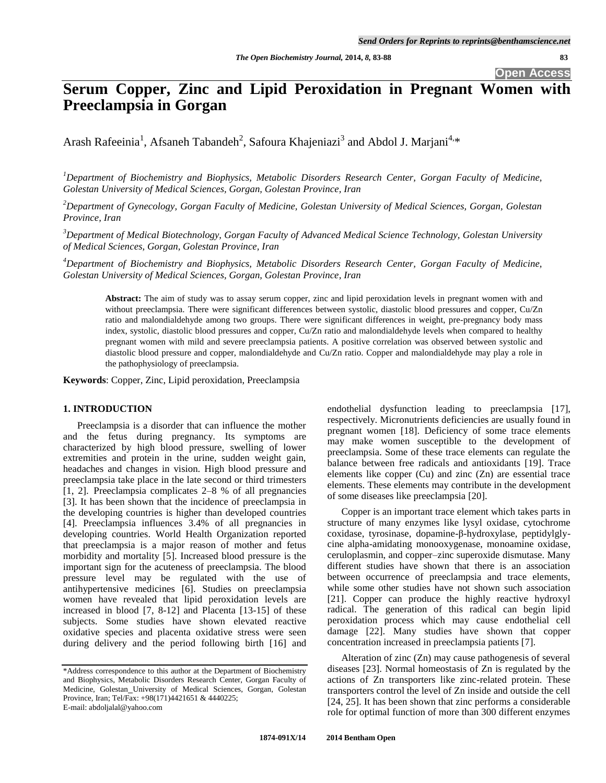**Open Access**

# **Serum Copper, Zinc and Lipid Peroxidation in Pregnant Women with Preeclampsia in Gorgan**

Arash Rafeeinia<sup>1</sup>, Afsaneh Tabandeh<sup>2</sup>, Safoura Khajeniazi<sup>3</sup> and Abdol J. Marjani<sup>4,\*</sup>

*<sup>1</sup>Department of Biochemistry and Biophysics, Metabolic Disorders Research Center, Gorgan Faculty of Medicine, Golestan University of Medical Sciences, Gorgan, Golestan Province, Iran*

*<sup>2</sup>Department of Gynecology, Gorgan Faculty of Medicine, Golestan University of Medical Sciences, Gorgan, Golestan Province, Iran*

*<sup>3</sup>Department of Medical Biotechnology, Gorgan Faculty of Advanced Medical Science Technology, Golestan University of Medical Sciences, Gorgan, Golestan Province, Iran*

*<sup>4</sup>Department of Biochemistry and Biophysics, Metabolic Disorders Research Center, Gorgan Faculty of Medicine, Golestan University of Medical Sciences, Gorgan, Golestan Province, Iran*

**Abstract:** The aim of study was to assay serum copper, zinc and lipid peroxidation levels in pregnant women with and without preeclampsia. There were significant differences between systolic, diastolic blood pressures and copper, Cu/Zn ratio and malondialdehyde among two groups. There were significant differences in weight, pre-pregnancy body mass index, systolic, diastolic blood pressures and copper, Cu/Zn ratio and malondialdehyde levels when compared to healthy pregnant women with mild and severe preeclampsia patients. A positive correlation was observed between systolic and diastolic blood pressure and copper, malondialdehyde and Cu/Zn ratio. Copper and malondialdehyde may play a role in the pathophysiology of preeclampsia.

**Keywords**: Copper, Zinc, Lipid peroxidation, Preeclampsia

## **1. INTRODUCTION**

Preeclampsia is a disorder that can influence the mother and the fetus during pregnancy. Its symptoms are characterized by high blood pressure, swelling of lower extremities and protein in the urine, sudden weight gain, headaches and changes in vision. High blood pressure and preeclampsia take place in the late second or third trimesters [1, 2]. Preeclampsia complicates 2–8 % of all pregnancies [3]. It has been shown that the incidence of preeclampsia in the developing countries is higher than developed countries [4]. Preeclampsia influences 3.4% of all pregnancies in developing countries. World Health Organization reported that preeclampsia is a major reason of mother and fetus morbidity and mortality [5]. Increased blood pressure is the important sign for the acuteness of preeclampsia. The blood pressure level may be regulated with the use of antihypertensive medicines [6]. Studies on preeclampsia women have revealed that lipid peroxidation levels are increased in blood [7, 8-12] and Placenta [13-15] of these subjects. Some studies have shown elevated reactive oxidative species and placenta oxidative stress were seen during delivery and the period following birth [16] and endothelial dysfunction leading to preeclampsia [17], respectively. Micronutrients deficiencies are usually found in pregnant women [18]. Deficiency of some trace elements may make women susceptible to the development of preeclampsia. Some of these trace elements can regulate the balance between free radicals and antioxidants [19]. Trace elements like copper (Cu) and zinc (Zn) are essential trace elements. These elements may contribute in the development of some diseases like preeclampsia [20].

Copper is an important trace element which takes parts in structure of many enzymes like lysyl oxidase, cytochrome coxidase, tyrosinase, dopamine-β-hydroxylase, peptidylglycine alpha-amidating monooxygenase, monoamine oxidase, ceruloplasmin, and copper–zinc superoxide dismutase. Many different studies have shown that there is an association between occurrence of preeclampsia and trace elements, while some other studies have not shown such association [21]. Copper can produce the highly reactive hydroxyl radical. The generation of this radical can begin lipid peroxidation process which may cause endothelial cell damage [22]. Many studies have shown that copper concentration increased in preeclampsia patients [7].

Alteration of zinc (Zn) may cause pathogenesis of several diseases [23]. Normal homeostasis of Zn is regulated by the actions of Zn transporters like zinc-related protein. These transporters control the level of Zn inside and outside the cell [24, 25]. It has been shown that zinc performs a considerable role for optimal function of more than 300 different enzymes

<sup>\*</sup>Address correspondence to this author at the Department of Biochemistry and Biophysics, Metabolic Disorders Research Center, Gorgan Faculty of Medicine, Golestan University of Medical Sciences, Gorgan, Golestan Province, Iran; Tel/Fax: +98(171)4421651 & 4440225; E-mail: abdoljalal@yahoo.com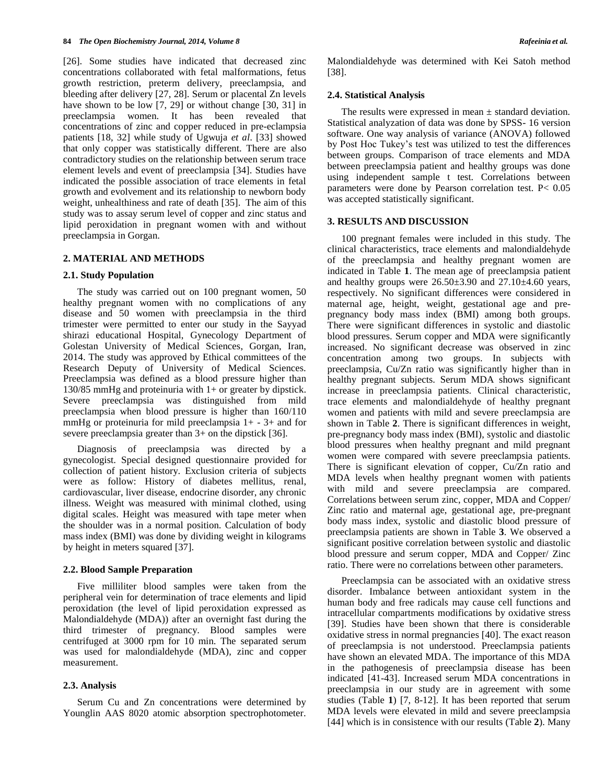[26]. Some studies have indicated that decreased zinc concentrations collaborated with fetal malformations, fetus growth restriction, preterm delivery, preeclampsia, and bleeding after delivery [27, 28]. Serum or placental Zn levels have shown to be low [7, 29] or without change [30, 31] in preeclampsia women. It has been revealed that concentrations of zinc and copper reduced in pre-eclampsia patients [18, 32] while study of Ugwuja *et al*. [33] showed that only copper was statistically different. There are also contradictory studies on the relationship between serum trace element levels and event of preeclampsia [34]. Studies have indicated the possible association of trace elements in fetal growth and evolvement and its relationship to newborn body weight, unhealthiness and rate of death [35]. The aim of this study was to assay serum level of copper and zinc status and lipid peroxidation in pregnant women with and without preeclampsia in Gorgan.

#### **2. MATERIAL AND METHODS**

### **2.1. Study Population**

The study was carried out on 100 pregnant women, 50 healthy pregnant women with no complications of any disease and 50 women with preeclampsia in the third trimester were permitted to enter our study in the Sayyad shirazi educational Hospital, Gynecology Department of Golestan University of Medical Sciences, Gorgan, Iran, 2014. The study was approved by Ethical committees of the Research Deputy of University of Medical Sciences. Preeclampsia was defined as a blood pressure higher than 130/85 mmHg and proteinuria with 1+ or greater by dipstick. Severe preeclampsia was distinguished from mild preeclampsia when blood pressure is higher than 160/110 mmHg or proteinuria for mild preeclampsia 1+ - 3+ and for severe preeclampsia greater than 3+ on the dipstick [36].

Diagnosis of preeclampsia was directed by gynecologist. Special designed questionnaire provided for collection of patient history. Exclusion criteria of subjects were as follow: History of diabetes mellitus, renal, cardiovascular, liver disease, endocrine disorder, any chronic illness. Weight was measured with minimal clothed, using digital scales. Height was measured with tape meter when the shoulder was in a normal position. Calculation of body mass index (BMI) was done by dividing weight in kilograms by height in meters squared [37].

#### **2.2. Blood Sample Preparation**

Five milliliter blood samples were taken from the peripheral vein for determination of trace elements and lipid peroxidation (the level of lipid peroxidation expressed as Malondialdehyde (MDA)) after an overnight fast during the third trimester of pregnancy. Blood samples were centrifuged at 3000 rpm for 10 min. The separated serum was used for malondialdehyde (MDA), zinc and copper measurement.

#### **2.3. Analysis**

Serum Cu and Zn concentrations were determined by Younglin AAS 8020 atomic absorption spectrophotometer. Malondialdehyde was determined with Kei Satoh method [38].

#### **2.4. Statistical Analysis**

The results were expressed in mean  $\pm$  standard deviation. Statistical analyzation of data was done by SPSS- 16 version software. One way analysis of variance (ANOVA) followed by Post Hoc Tukey's test was utilized to test the differences between groups. Comparison of trace elements and MDA between preeclampsia patient and healthy groups was done using independent sample t test. Correlations between parameters were done by Pearson correlation test. P< 0.05 was accepted statistically significant.

#### **3. RESULTS AND DISCUSSION**

100 pregnant females were included in this study. The clinical characteristics, trace elements and malondialdehyde of the preeclampsia and healthy pregnant women are indicated in Table **1**. The mean age of preeclampsia patient and healthy groups were  $26.50\pm3.90$  and  $27.10\pm4.60$  years, respectively. No significant differences were considered in maternal age, height, weight, gestational age and prepregnancy body mass index (BMI) among both groups. There were significant differences in systolic and diastolic blood pressures. Serum copper and MDA were significantly increased. No significant decrease was observed in zinc concentration among two groups. In subjects with preeclampsia, Cu/Zn ratio was significantly higher than in healthy pregnant subjects. Serum MDA shows significant increase in preeclampsia patients. Clinical characteristic, trace elements and malondialdehyde of healthy pregnant women and patients with mild and severe preeclampsia are shown in Table **2**. There is significant differences in weight, pre-pregnancy body mass index (BMI), systolic and diastolic blood pressures when healthy pregnant and mild pregnant women were compared with severe preeclampsia patients. There is significant elevation of copper, Cu/Zn ratio and MDA levels when healthy pregnant women with patients with mild and severe preeclampsia are compared. Correlations between serum zinc, copper, MDA and Copper/ Zinc ratio and maternal age, gestational age, pre-pregnant body mass index, systolic and diastolic blood pressure of preeclampsia patients are shown in Table **3**. We observed a significant positive correlation between systolic and diastolic blood pressure and serum copper, MDA and Copper/ Zinc ratio. There were no correlations between other parameters.

Preeclampsia can be associated with an oxidative stress disorder. Imbalance between antioxidant system in the human body and free radicals may cause cell functions and intracellular compartments modifications by oxidative stress [39]. Studies have been shown that there is considerable oxidative stress in normal pregnancies [40]. The exact reason of preeclampsia is not understood. Preeclampsia patients have shown an elevated MDA. The importance of this MDA in the pathogenesis of preeclampsia disease has been indicated [41-43]. Increased serum MDA concentrations in preeclampsia in our study are in agreement with some studies (Table **1**) [7, 8-12]. It has been reported that serum MDA levels were elevated in mild and severe preeclampsia [44] which is in consistence with our results (Table **2**). Many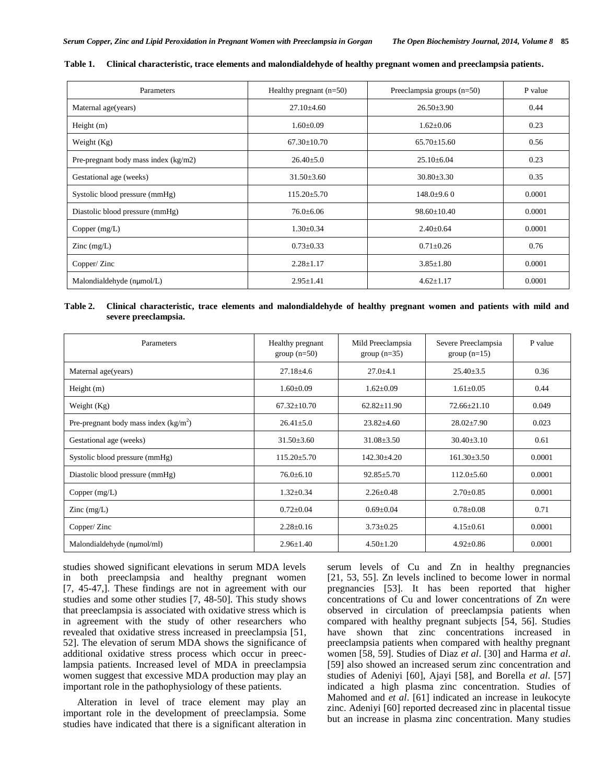| Parameters                             | Healthy pregnant $(n=50)$ | Preeclampsia groups (n=50) | P value |
|----------------------------------------|---------------------------|----------------------------|---------|
| Maternal age(years)                    | $27.10 \pm 4.60$          | $26.50 \pm 3.90$           | 0.44    |
| Height $(m)$                           | $1.60 \pm 0.09$           | $1.62 \pm 0.06$            | 0.23    |
| Weight $(Kg)$                          | $67.30 \pm 10.70$         | $65.70 \pm 15.60$          | 0.56    |
| Pre-pregnant body mass index $(kg/m2)$ | $26.40 \pm 5.0$           | $25.10\pm 6.04$            | 0.23    |
| Gestational age (weeks)                | $31.50 \pm 3.60$          | $30.80 \pm 3.30$           | 0.35    |
| Systolic blood pressure (mmHg)         | $115.20 \pm 5.70$         | $148.0{\pm}9.60$           | 0.0001  |
| Diastolic blood pressure (mmHg)        | $76.0 \pm 6.06$           | $98.60 \pm 10.40$          | 0.0001  |
| Copper $(mg/L)$                        | $1.30 \pm 0.34$           | $2.40 \pm 0.64$            | 0.0001  |
| Zinc $(mg/L)$                          | $0.73 \pm 0.33$           | $0.71 \pm 0.26$            | 0.76    |
| Copper/Zinc                            | $2.28 \pm 1.17$           | $3.85 \pm 1.80$            | 0.0001  |
| Malondialdehyde (nµmol/L)              | $2.95 \pm 1.41$           | $4.62 \pm 1.17$            | 0.0001  |

**Table 1. Clinical characteristic, trace elements and malondialdehyde of healthy pregnant women and preeclampsia patients.**

## **Table 2. Clinical characteristic, trace elements and malondialdehyde of healthy pregnant women and patients with mild and severe preeclampsia.**

| Parameters                             | Healthy pregnant<br>$group(n=50)$ | Mild Preeclampsia<br>$group(n=35)$ | Severe Preeclampsia<br>group $(n=15)$ | P value |
|----------------------------------------|-----------------------------------|------------------------------------|---------------------------------------|---------|
| Maternal age(years)                    | $27.18 \pm 4.6$                   | $27.0 + 4.1$                       | $25.40 \pm 3.5$                       | 0.36    |
| Height $(m)$                           | $1.60 \pm 0.09$                   | $1.62 \pm 0.09$                    | $1.61 \pm 0.05$                       | 0.44    |
| Weight (Kg)                            | $67.32 \pm 10.70$                 | $62.82 \pm 11.90$                  | $72.66 \pm 21.10$                     | 0.049   |
| Pre-pregnant body mass index $(kg/m2)$ | $26.41 \pm 5.0$                   | $23.82{\pm}4.60$                   | $28.02 \pm 7.90$                      | 0.023   |
| Gestational age (weeks)                | $31.50 \pm 3.60$                  | $31.08 \pm 3.50$                   | $30.40 \pm 3.10$                      | 0.61    |
| Systolic blood pressure (mmHg)         | $115.20 \pm 5.70$                 | $142.30 \pm 4.20$                  | $161.30 \pm 3.50$                     | 0.0001  |
| Diastolic blood pressure (mmHg)        | $76.0 \pm 6.10$                   | $92.85 \pm 5.70$                   | $112.0 \pm 5.60$                      | 0.0001  |
| Copper $(mg/L)$                        | $1.32 \pm 0.34$                   | $2.26 \pm 0.48$                    | $2.70 \pm 0.85$                       | 0.0001  |
| $\text{Zinc} \text{ (mg/L)}$           | $0.72 \pm 0.04$                   | $0.69 \pm 0.04$                    | $0.78 \pm 0.08$                       | 0.71    |
| Copper/Zinc                            | $2.28 \pm 0.16$                   | $3.73 \pm 0.25$                    | $4.15 \pm 0.61$                       | 0.0001  |
| Malondialdehyde (nµmol/ml)             | $2.96 \pm 1.40$                   | $4.50 \pm 1.20$                    | $4.92 \pm 0.86$                       | 0.0001  |

studies showed significant elevations in serum MDA levels in both preeclampsia and healthy pregnant women [7, 45-47,]. These findings are not in agreement with our studies and some other studies [7, 48-50]. This study shows that preeclampsia is associated with oxidative stress which is in agreement with the study of other researchers who revealed that oxidative stress increased in preeclampsia [51, 52]. The elevation of serum MDA shows the significance of additional oxidative stress process which occur in preeclampsia patients. Increased level of MDA in preeclampsia women suggest that excessive MDA production may play an important role in the pathophysiology of these patients.

Alteration in level of trace element may play an important role in the development of preeclampsia. Some studies have indicated that there is a significant alteration in serum levels of Cu and Zn in healthy pregnancies [21, 53, 55]. Zn levels inclined to become lower in normal pregnancies [53]. It has been reported that higher concentrations of Cu and lower concentrations of Zn were observed in circulation of preeclampsia patients when compared with healthy pregnant subjects [54, 56]. Studies have shown that zinc concentrations increased in preeclampsia patients when compared with healthy pregnant women [58, 59]. Studies of Diaz *et al*. [30] and Harma *et al*. [59] also showed an increased serum zinc concentration and studies of Adeniyi [60], Ajayi [58], and Borella *et al*. [57] indicated a high plasma zinc concentration. Studies of Mahomed and *et al*. [61] indicated an increase in leukocyte zinc. Adeniyi [60] reported decreased zinc in placental tissue but an increase in plasma zinc concentration. Many studies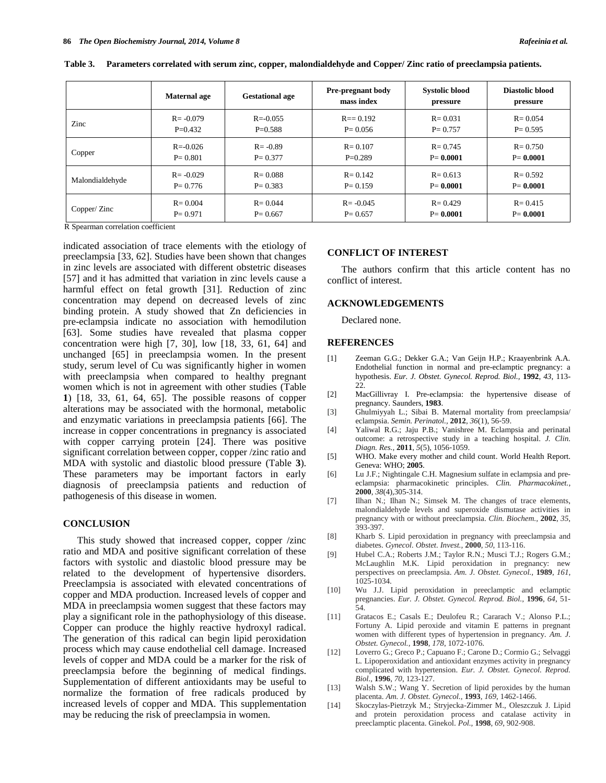|                 | <b>Maternal age</b> | <b>Gestational age</b> | <b>Pre-pregnant body</b><br>mass index | <b>Systolic blood</b><br>pressure | Diastolic blood<br>pressure |
|-----------------|---------------------|------------------------|----------------------------------------|-----------------------------------|-----------------------------|
| Zinc            | $R = -0.079$        | $R = -0.055$           | $R = 0.192$                            | $R = 0.031$                       | $R = 0.054$                 |
|                 | $P=0.432$           | $P=0.588$              | $P = 0.056$                            | $P = 0.757$                       | $P = 0.595$                 |
| Copper          | $R = -0.026$        | $R = -0.89$            | $R = 0.107$                            | $R = 0.745$                       | $R = 0.750$                 |
|                 | $P = 0.801$         | $P = 0.377$            | $P=0.289$                              | $P = 0.0001$                      | $P = 0.0001$                |
| Malondialdehyde | $R = -0.029$        | $R = 0.088$            | $R = 0.142$                            | $R = 0.613$                       | $R = 0.592$                 |
|                 | $P = 0.776$         | $P = 0.383$            | $P = 0.159$                            | $P = 0.0001$                      | $P = 0.0001$                |
| Copper/Zinc     | $R = 0.004$         | $R = 0.044$            | $R = -0.045$                           | $R = 0.429$                       | $R = 0.415$                 |
|                 | $P = 0.971$         | $P = 0.667$            | $P = 0.657$                            | $P = 0.0001$                      | $P = 0.0001$                |

**Table 3. Parameters correlated with serum zinc, copper, malondialdehyde and Copper/ Zinc ratio of preeclampsia patients.**

R Spearman correlation coefficient

indicated association of trace elements with the etiology of preeclampsia [33, 62]. Studies have been shown that changes in zinc levels are associated with different obstetric diseases [57] and it has admitted that variation in zinc levels cause a harmful effect on fetal growth [31]. Reduction of zinc concentration may depend on decreased levels of zinc binding protein. A study showed that Zn deficiencies in pre-eclampsia indicate no association with hemodilution [63]. Some studies have revealed that plasma copper concentration were high [7, 30], low [18, 33, 61, 64] and unchanged [65] in preeclampsia women. In the present study, serum level of Cu was significantly higher in women with preeclampsia when compared to healthy pregnant women which is not in agreement with other studies (Table **1**) [18, 33, 61, 64, 65]. The possible reasons of copper alterations may be associated with the hormonal, metabolic and enzymatic variations in preeclampsia patients [66]. The increase in copper concentrations in pregnancy is associated with copper carrying protein [24]. There was positive significant correlation between copper, copper /zinc ratio and MDA with systolic and diastolic blood pressure (Table **3**). These parameters may be important factors in early diagnosis of preeclampsia patients and reduction of pathogenesis of this disease in women.

#### **CONCLUSION**

This study showed that increased copper, copper /zinc ratio and MDA and positive significant correlation of these factors with systolic and diastolic blood pressure may be related to the development of hypertensive disorders. Preeclampsia is associated with elevated concentrations of copper and MDA production. Increased levels of copper and MDA in preeclampsia women suggest that these factors may play a significant role in the pathophysiology of this disease. Copper can produce the highly reactive hydroxyl radical. The generation of this radical can begin lipid peroxidation process which may cause endothelial cell damage. Increased levels of copper and MDA could be a marker for the risk of preeclampsia before the beginning of medical findings. Supplementation of different antioxidants may be useful to normalize the formation of free radicals produced by increased levels of copper and MDA. This supplementation may be reducing the risk of preeclampsia in women.

#### **CONFLICT OF INTEREST**

The authors confirm that this article content has no conflict of interest.

#### **ACKNOWLEDGEMENTS**

Declared none.

## **REFERENCES**

- [1] Zeeman G.G.; Dekker G.A.; Van Geijn H.P.; Kraayenbrink A.A. Endothelial function in normal and pre-eclamptic pregnancy: a hypothesis. *Eur. J. Obstet. Gynecol. Reprod. Biol.,* **1992**, *43*, 113- 22.
- [2] MacGillivray I. Pre-eclampsia: the hypertensive disease of pregnancy. Saunders, **1983**.
- [3] Ghulmiyyah L.; Sibai B. Maternal mortality from preeclampsia/ eclampsia. *Semin. Perinatol.,* **2012**, *36*(1), 56-59.
- [4] Yaliwal R.G.; Jaju P.B.; Vanishree M. Eclampsia and perinatal outcome: a retrospective study in a teaching hospital. *J. Clin. Diagn. Res.,* **2011**, *5*(5), 1056-1059.
- [5] WHO. Make every mother and child count. World Health Report. Geneva: WHO; **2005**.
- [6] Lu J.F.; Nightingale C.H. Magnesium sulfate in eclampsia and preeclampsia: pharmacokinetic principles. *Clin. Pharmacokinet.,* **2000**, *38*(4),305-314.
- [7] Ilhan N.; Ilhan N.; Simsek M. The changes of trace elements, malondialdehyde levels and superoxide dismutase activities in pregnancy with or without preeclampsia. *Clin. Biochem.,* **2002**, *35*, 393-397.
- [8] Kharb S. Lipid peroxidation in pregnancy with preeclampsia and diabetes. *Gynecol. Obstet. Invest.,* **2000**, *50*, 113-116.
- [9] Hubel C.A.; Roberts J.M.; Taylor R.N.; Musci T.J.; Rogers G.M.; McLaughlin M.K. Lipid peroxidation in pregnancy: new perspectives on preeclampsia. *Am. J. Obstet. Gynecol.,* **1989**, *161*, 1025-1034.
- [10] Wu J.J. Lipid peroxidation in preeclamptic and eclamptic pregnancies. *Eur. J. Obstet. Gynecol. Reprod. Biol.,* **1996**, *64*, 51- 54.
- [11] Gratacos E.; Casals E.; Deulofeu R.; Cararach V.; Alonso P.L.; Fortuny A. Lipid peroxide and vitamin E patterns in pregnant women with different types of hypertension in pregnancy. *Am. J. Obstet. Gynecol.*, **1998**, *178*, 1072-1076.
- [12] Loverro G.; Greco P.; Capuano F.; Carone D.; Cormio G.; Selvaggi L. Lipoperoxidation and antioxidant enzymes activity in pregnancy complicated with hypertension. *Eur. J. Obstet. Gynecol. Reprod. Biol.,* **1996**, *70*, 123-127.
- [13] Walsh S.W.; Wang Y. Secretion of lipid peroxides by the human placenta. *Am. J. Obstet. Gynecol.,* **1993**, *169*, 1462-1466.
- [14] Skoczylas-Pietrzyk M.; Stryjecka-Zimmer M., Oleszczuk J. Lipid and protein peroxidation process and catalase activity in preeclamptic placenta. Ginekol. *Pol.,* **1998**, *69*, 902-908.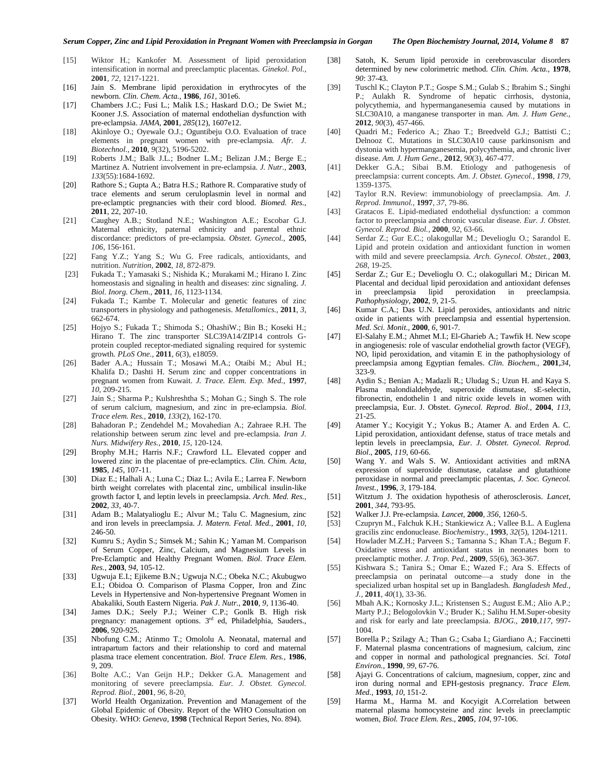- [15] Wiktor H.; Kankofer M. Assessment of lipid peroxidation intensification in normal and preeclamptic placentas. *Ginekol. Pol.,*  **2001**, *72*, 1217-1221.
- [16] Jain S. Membrane lipid peroxidation in erythrocytes of the newborn. *Clin. Chem. Acta.,* **1986**, *161*, 301e6.
- [17] Chambers J.C.; Fusi L.; Malik I.S.; Haskard D.O.; De Swiet M.; Kooner J.S. Association of maternal endothelian dysfunction with pre-eclampsia. *JAMA,* **2001**, *285*(12), 1607e12.
- [18] Akinloye O.; Oyewale O.J.; Oguntibeju O.O. Evaluation of trace elements in pregnant women with pre-eclampsia. *Afr. J. Biotechnol.,* **2010**, *9*(32), 5196-5202.
- [19] Roberts J.M.; Balk J.L.; Bodner L.M.; Belizan J.M.; Berge E.; Martinez A. Nutrient involvement in pre-eclampsia. *J. Nutr.,* **2003**, *133*(55):1684-1692.
- [20] Rathore S.; Gupta A.; Batra H.S.; Rathore R. Comparative study of trace elements and serum ceruloplasmin level in normal and pre-eclamptic pregnancies with their cord blood. *Biomed. Res.,* **2011**, 22, 207-10.
- [21] Caughey A.B.; Stotland N.E.; Washington A.E.; Escobar G.J. Maternal ethnicity, paternal ethnicity and parental ethnic discordance: predictors of pre-eclampsia. *Obstet. Gynecol.,* **2005**, *106*, 156-161.
- [22] Fang Y.Z.; Yang S.; Wu G. Free radicals, antioxidants, and nutrition. *Nutrition,* **2002**, *18*, 872-879.
- [23] Fukada T.; Yamasaki S.; Nishida K.; Murakami M.; Hirano I. Zinc homeostasis and signaling in health and diseases: zinc signaling. *J. Biol. Inorg. Chem.,* **2011**, *16*, 1123-1134.
- [24] Fukada T.; Kambe T. Molecular and genetic features of zinc transporters in physiology and pathogenesis. *Metallomics.,* **2011**, *3*, 662-674.
- [25] Hojyo S.; Fukada T.; Shimoda S.; OhashiW.; Bin B.; Koseki H.; Hirano T. The zinc transporter SLC39A14/ZIP14 controls Gprotein coupled receptor-mediated signaling required for systemic growth. *PLoS One.,* **2011**, *6*(3), e18059.
- [26] Bader A.A.; Hussain T.; Mosawi M.A.; Otaibi M.; Abul H.; Khalifa D.; Dashti H. Serum zinc and copper concentrations in pregnant women from Kuwait. *J. Trace. Elem. Exp. Med.,* **1997**, *10*, 209-215.
- [27] Jain S.; Sharma P.; Kulshreshtha S.; Mohan G.; Singh S. The role of serum calcium, magnesium, and zinc in pre-eclampsia. *Biol. Trace elem. Res.,* **2010**, *133*(2), 162-170.
- [28] Bahadoran P.; Zendehdel M.; Movahedian A.; Zahraee R.H. The relationship between serum zinc level and pre-eclampsia. *Iran J. Nurs. Midwifery Res.,* **2010**, *15*, 120-124.
- [29] Brophy M.H.; Harris N.F.; Crawford I.L. Elevated copper and lowered zinc in the placentae of pre-eclamptics. *Clin. Chim. Acta,*  **1985**, *145*, 107-11.
- [30] Diaz E.; Halhali A.; Luna C.; Diaz L.; Avila E.; Larrea F. Newborn birth weight correlates with placental zinc, umbilical insulin-like growth factor I, and leptin levels in preeclampsia. *Arch. Med. Res.,*  **2002**, *33*, 40-7.
- [31] Adam B.; Malatyalioglu E.; Alvur M.; Talu C. Magnesium, zinc and iron levels in preeclampsia. *J. Matern. Fetal. Med.,* **2001**, *10*, 246-50.
- [32] Kumru S.; Aydin S.; Simsek M.; Sahin K.; Yaman M. Comparison of Serum Copper, Zinc, Calcium, and Magnesium Levels in Pre-Eclamptic and Healthy Pregnant Women. *Biol. Trace Elem. Res.,* **2003**, *94*, 105-12.
- [33] Ugwuja E.I.; Ejikeme B.N.; Ugwuja N.C.; Obeka N.C.; Akubugwo E.I.; Obidoa O. Comparison of Plasma Copper, Iron and Zinc Levels in Hypertensive and Non-hypertensive Pregnant Women in Abakaliki, South Eastern Nigeria. *Pak J. Nutr.*, **2010**, *9*, 1136-40.
- [34] James D.K.; Seely P.J.; Weiner C.P.; Gonlk B. High risk pregnancy: management options. 3<sup>rd</sup> ed, Philadelphia, Sauders., **2006**, 920-925.
- [35] Nbofung C.M.; Atinmo T.; Omololu A. Neonatal, maternal and intrapartum factors and their relationship to cord and maternal plasma trace element concentration. *Biol. Trace Elem. Res.,* **1986**, *9*, 209.
- [36] Bolte A.C.; Van Geijn H.P.; Dekker G.A. Management and monitoring of severe preeclampsia. *Eur. J. Obstet. Gynecol. Reprod. Biol.,* **2001**, *96*, 8-20.
- [37] World Health Organization. Prevention and Management of the Global Epidemic of Obesity. Report of the WHO Consultation on Obesity. WHO: *Geneva,* **1998** (Technical Report Series, No. 894).
- [38] Satoh, K. Serum lipid peroxide in cerebrovascular disorders determined by new colorimetric method. *Clin. Chim. Acta.,* **1978**, *90*: 37-43.
- [39] Tuschl K.; Clayton P.T.; Gospe S.M.; Gulab S.; Ibrahim S.; Singhi P.; Aulakh R. Syndrome of hepatic cirrhosis, dystonia, polycythemia, and hypermanganesemia caused by mutations in SLC30A10, a manganese transporter in man. *Am. J. Hum Gene.,* **2012**, *90*(3), 457-466.
- [40] Quadri M.; Federico A.; Zhao T.; Breedveld G.J.; Battisti C.; Delnooz C. Mutations in SLC30A10 cause parkinsonism and dystonia with hypermanganesemia, polycythemia, and chronic liver disease. *Am. J. Hum Gene.,* **2012**, *90*(3), 467-477.
- [41] Dekker G.A.; Sibai B.M. Etiology and pathogenesis of preeclampsia: current concepts. *Am. J. Obstet. Gynecol.,* **1998**, *179*, 1359-1375.
- [42] Taylor R.N. Review: immunobiology of preeclampsia. *Am. J. Reprod. Immunol.,* **1997**, *37*, 79-86.
- [43] Gratacos E. Lipid-mediated endothelial dysfunction: a common factor to preeclampsia and chronic vascular disease. *Eur. J. Obstet. Gynecol. Reprod. Biol.,* **2000**, *92*, 63-66.
- [44] Serdar Z.; Gur E.C.; olakogullar M.; Develioglu O.; Sarandol E. Lipid and protein oxidation and antioxidant function in women with mild and severe preeclampsia. *Arch. Gynecol. Obstet.*, **2003**, *268*, 19-25.
- [45] Serdar Z.; Gur E.; Develioglu O. C.; olakogullari M.; Dirican M. Placental and decidual lipid peroxidation and antioxidant defenses in preeclampsia lipid peroxidation in preeclampsia. *Pathophysiology,* **2002**, *9*, 21-5.
- [46] Kumar C.A.; Das U.N. Lipid peroxides, antioxidants and nitric oxide in patients with preeclampsia and essential hypertension. *Med. Sci. Monit.,* **2000**, *6*, 901-7.
- [47] El-Salahy E.M.; Ahmet M.I.; El-Gharieb A.; Tawfik H. New scope in angiogenesis: role of vascular endothelial growth factor (VEGF), NO, lipid peroxidation, and vitamin E in the pathophysiology of preeclampsia among Egyptian females. *Clin. Biochem.,* **2001**,*34*, 323-9.
- [48] Aydin S.; Benian A.; Madazli R.; Uludag S.; Uzun H. and Kaya S. Plasma malondialdehyde, superoxide dismutase, sE-selectin, fibronectin, endothelin 1 and nitric oxide levels in women with preeclampsia, Eur. J. Obstet. *Gynecol. Reprod. Biol.,* **2004**, *113*, 21-25.
- [49] Atamer Y.; Kocyigit Y.; Yokus B.; Atamer A. and Erden A. C. Lipid peroxidation, antioxidant defense, status of trace metals and leptin levels in preeclampsia, *Eur. J. Obstet. Gynecol. Reprod. Biol.,* **2005**, *119*, 60-66.
- [50] Wang Y. and Wals S. W. Antioxidant activities and mRNA expression of superoxide dismutase, catalase and glutathione peroxidase in normal and preeclamptic placentas, *J. Soc. Gynecol. Invest.,* **1996**, *3*, 179-184.
- [51] Witztum J. The oxidation hypothesis of atherosclerosis. *Lancet,* **2001**, *344*, 793-95.
- [52] Walker J.J. Pre-eclampsia. *Lancet,* **2000**, *356*, 1260-5.
- [53] Czupryn M., Falchuk K.H.; Stankiewicz A.; Vallee B.L. A Euglena gracilis zinc endonuclease. *Biochemistry.,* **1993**, *32*(5), 1204-1211.
- [54] Howlader M.Z.H.; Parveen S.; Tamanna S.; Khan T.A.; Begum F. Oxidative stress and antioxidant status in neonates born to preeclamptic mother. *J. Trop. Ped.,* **2009**, *55*(6), 363-367.
- [55] Kishwara S.; Tanira S.; Omar E.; Wazed F.; Ara S. Effects of preeclampsia on perinatal outcome—a study done in the specialized urban hospital set up in Bangladesh. *Bangladesh Med., J.,* **2011**, *40*(1), 33-36.
- [56] Mbah A.K.; Kornosky J.L.; Kristensen S.; August E.M.; Alio A.P.; Marty P.J.; Belogolovkin V.; Bruder K.; Salihu H.M.Super-obesity and risk for early and late preeclampsia. *BJOG.,* **2010**,*117*, 997- 1004.
- [57] Borella P.; Szilagy A.; Than G.; Csaba I.; Giardiano A.; Faccinetti F. Maternal plasma concentrations of magnesium, calcium, zinc and copper in normal and pathological pregnancies. *Sci. Total Environ.,* **1990**, *99*, 67-76.
- [58] Ajayi G. Concentrations of calcium, magnesium, copper, zinc and iron during normal and EPH-gestosis pregnancy. *Trace Elem. Med.,* **1993**, *10*, 151-2.
- [59] Harma M., Harma M. and Kocyigit A.Correlation between maternal plasma homocysteine and zinc levels in preeclamptic women, *Biol. Trace Elem. Res.*, **2005**, *104*, 97-106.